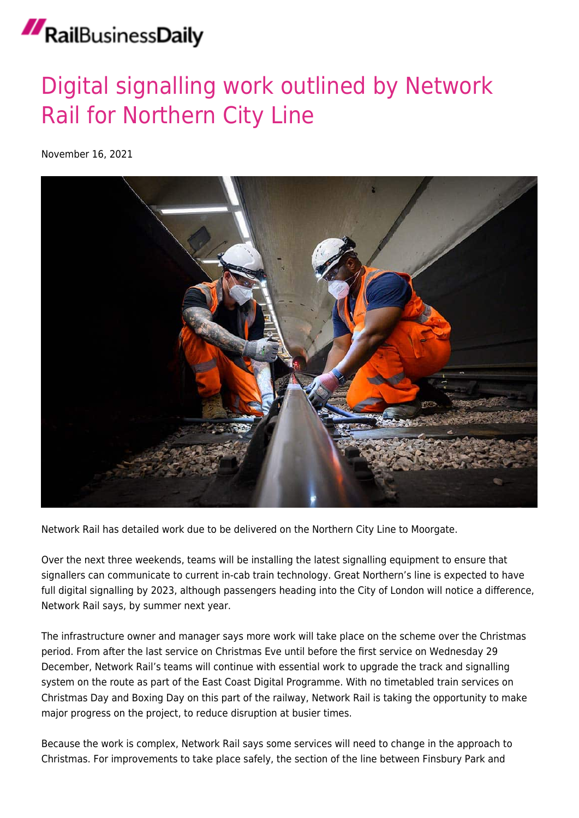## RailBusinessDaily

## [Digital signalling work outlined by Network](https://news.railbusinessdaily.com/digital-signalling-work-outlined-by-network-rail-for-northern-city-line/) [Rail for Northern City Line](https://news.railbusinessdaily.com/digital-signalling-work-outlined-by-network-rail-for-northern-city-line/)

November 16, 2021



Network Rail has detailed work due to be delivered on the Northern City Line to Moorgate.

Over the next three weekends, teams will be installing the latest signalling equipment to ensure that signallers can communicate to current in-cab train technology. Great Northern's line is expected to have full digital signalling by 2023, although passengers heading into the City of London will notice a difference, Network Rail says, by summer next year.

The infrastructure owner and manager says more work will take place on the scheme over the Christmas period. From after the last service on Christmas Eve until before the first service on Wednesday 29 December, Network Rail's teams will continue with essential work to upgrade the track and signalling system on the route as part of the East Coast Digital Programme. With no timetabled train services on Christmas Day and Boxing Day on this part of the railway, Network Rail is taking the opportunity to make major progress on the project, to reduce disruption at busier times.

Because the work is complex, Network Rail says some services will need to change in the approach to Christmas. For improvements to take place safely, the section of the line between Finsbury Park and